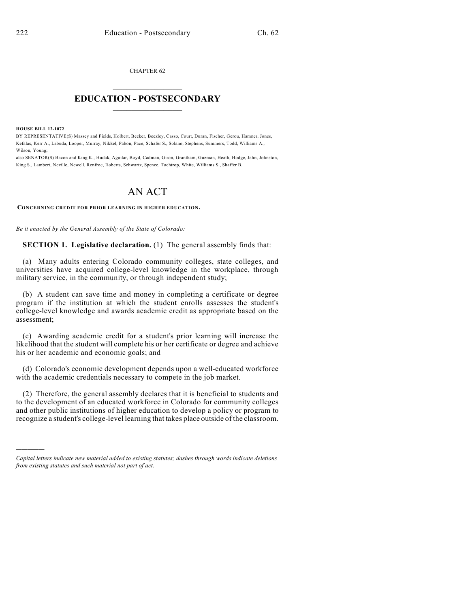CHAPTER 62  $\overline{\phantom{a}}$  . The set of the set of the set of the set of the set of the set of the set of the set of the set of the set of the set of the set of the set of the set of the set of the set of the set of the set of the set o

## **EDUCATION - POSTSECONDARY**  $\frac{1}{2}$  ,  $\frac{1}{2}$  ,  $\frac{1}{2}$  ,  $\frac{1}{2}$  ,  $\frac{1}{2}$  ,  $\frac{1}{2}$  ,  $\frac{1}{2}$

**HOUSE BILL 12-1072**

)))))

BY REPRESENTATIVE(S) Massey and Fields, Holbert, Becker, Beezley, Casso, Court, Duran, Fischer, Gerou, Hamner, Jones, Kefalas, Kerr A., Labuda, Looper, Murray, Nikkel, Pabon, Pace, Schafer S., Solano, Stephens, Summers, Todd, Williams A., Wilson, Young;

also SENATOR(S) Bacon and King K., Hudak, Aguilar, Boyd, Cadman, Giron, Grantham, Guzman, Heath, Hodge, Jahn, Johnston, King S., Lambert, Neville, Newell, Renfroe, Roberts, Schwartz, Spence, Tochtrop, White, Williams S., Shaffer B.

## AN ACT

**CONCERNING CREDIT FOR PRIOR LEARNING IN HIGHER EDUCATION.**

*Be it enacted by the General Assembly of the State of Colorado:*

**SECTION 1. Legislative declaration.** (1) The general assembly finds that:

(a) Many adults entering Colorado community colleges, state colleges, and universities have acquired college-level knowledge in the workplace, through military service, in the community, or through independent study;

(b) A student can save time and money in completing a certificate or degree program if the institution at which the student enrolls assesses the student's college-level knowledge and awards academic credit as appropriate based on the assessment;

(c) Awarding academic credit for a student's prior learning will increase the likelihood that the student will complete his or her certificate or degree and achieve his or her academic and economic goals; and

(d) Colorado's economic development depends upon a well-educated workforce with the academic credentials necessary to compete in the job market.

(2) Therefore, the general assembly declares that it is beneficial to students and to the development of an educated workforce in Colorado for community colleges and other public institutions of higher education to develop a policy or program to recognize a student's college-level learning that takes place outside of the classroom.

*Capital letters indicate new material added to existing statutes; dashes through words indicate deletions from existing statutes and such material not part of act.*